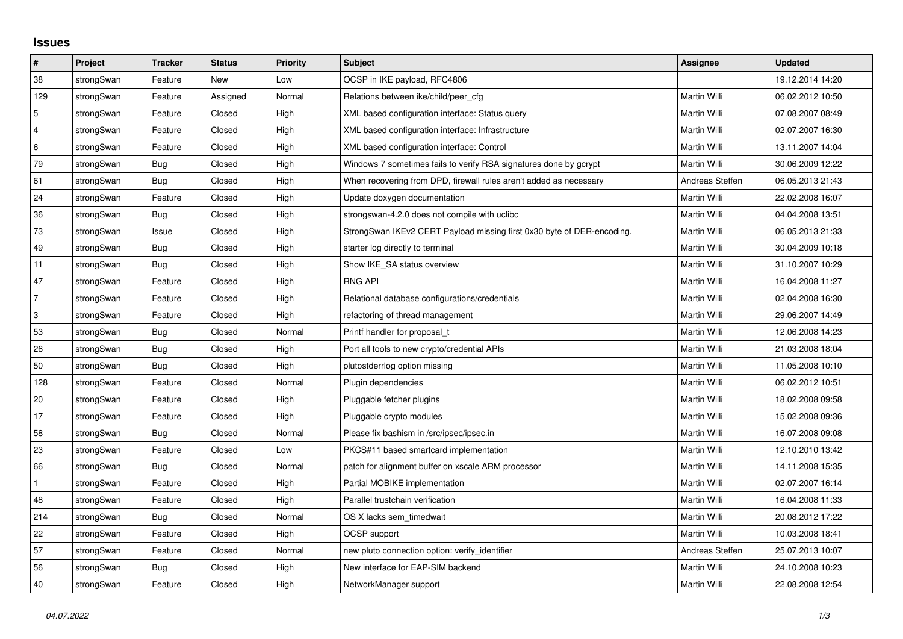## **Issues**

| $\pmb{\#}$     | <b>Project</b> | <b>Tracker</b> | <b>Status</b> | <b>Priority</b> | <b>Subject</b>                                                         | <b>Assignee</b> | Updated          |
|----------------|----------------|----------------|---------------|-----------------|------------------------------------------------------------------------|-----------------|------------------|
| 38             | strongSwan     | Feature        | <b>New</b>    | Low             | OCSP in IKE payload, RFC4806                                           |                 | 19.12.2014 14:20 |
| 129            | strongSwan     | Feature        | Assigned      | Normal          | Relations between ike/child/peer cfg                                   | Martin Willi    | 06.02.2012 10:50 |
| 5              | strongSwan     | Feature        | Closed        | High            | XML based configuration interface: Status query                        | Martin Willi    | 07.08.2007 08:49 |
| $\overline{4}$ | strongSwan     | Feature        | Closed        | High            | XML based configuration interface: Infrastructure                      | Martin Willi    | 02.07.2007 16:30 |
| $\,6\,$        | strongSwan     | Feature        | Closed        | High            | XML based configuration interface: Control                             | Martin Willi    | 13.11.2007 14:04 |
| 79             | strongSwan     | Bug            | Closed        | High            | Windows 7 sometimes fails to verify RSA signatures done by gcrypt      | Martin Willi    | 30.06.2009 12:22 |
| 61             | strongSwan     | Bug            | Closed        | High            | When recovering from DPD, firewall rules aren't added as necessary     | Andreas Steffen | 06.05.2013 21:43 |
| 24             | strongSwan     | Feature        | Closed        | High            | Update doxygen documentation                                           | Martin Willi    | 22.02.2008 16:07 |
| 36             | strongSwan     | Bug            | Closed        | High            | strongswan-4.2.0 does not compile with uclibc                          | Martin Willi    | 04.04.2008 13:51 |
| 73             | strongSwan     | Issue          | Closed        | High            | StrongSwan IKEv2 CERT Payload missing first 0x30 byte of DER-encoding. | Martin Willi    | 06.05.2013 21:33 |
| 49             | strongSwan     | Bug            | Closed        | High            | starter log directly to terminal                                       | Martin Willi    | 30.04.2009 10:18 |
| 11             | strongSwan     | Bug            | Closed        | High            | Show IKE SA status overview                                            | Martin Willi    | 31.10.2007 10:29 |
| 47             | strongSwan     | Feature        | Closed        | High            | <b>RNG API</b>                                                         | Martin Willi    | 16.04.2008 11:27 |
| $\overline{7}$ | strongSwan     | Feature        | Closed        | High            | Relational database configurations/credentials                         | Martin Willi    | 02.04.2008 16:30 |
| $\,3$          | strongSwan     | Feature        | Closed        | High            | refactoring of thread management                                       | Martin Willi    | 29.06.2007 14:49 |
| 53             | strongSwan     | Bug            | Closed        | Normal          | Printf handler for proposal_t                                          | Martin Willi    | 12.06.2008 14:23 |
| 26             | strongSwan     | Bug            | Closed        | High            | Port all tools to new crypto/credential APIs                           | Martin Willi    | 21.03.2008 18:04 |
| 50             | strongSwan     | Bug            | Closed        | High            | plutostderrlog option missing                                          | Martin Willi    | 11.05.2008 10:10 |
| 128            | strongSwan     | Feature        | Closed        | Normal          | Plugin dependencies                                                    | Martin Willi    | 06.02.2012 10:51 |
| 20             | strongSwan     | Feature        | Closed        | High            | Pluggable fetcher plugins                                              | Martin Willi    | 18.02.2008 09:58 |
| 17             | strongSwan     | Feature        | Closed        | High            | Pluggable crypto modules                                               | Martin Willi    | 15.02.2008 09:36 |
| 58             | strongSwan     | Bug            | Closed        | Normal          | Please fix bashism in /src/ipsec/ipsec.in                              | Martin Willi    | 16.07.2008 09:08 |
| 23             | strongSwan     | Feature        | Closed        | Low             | PKCS#11 based smartcard implementation                                 | Martin Willi    | 12.10.2010 13:42 |
| 66             | strongSwan     | Bug            | Closed        | Normal          | patch for alignment buffer on xscale ARM processor                     | Martin Willi    | 14.11.2008 15:35 |
|                | strongSwan     | Feature        | Closed        | High            | Partial MOBIKE implementation                                          | Martin Willi    | 02.07.2007 16:14 |
| 48             | strongSwan     | Feature        | Closed        | High            | Parallel trustchain verification                                       | Martin Willi    | 16.04.2008 11:33 |
| 214            | strongSwan     | Bug            | Closed        | Normal          | OS X lacks sem timedwait                                               | Martin Willi    | 20.08.2012 17:22 |
| 22             | strongSwan     | Feature        | Closed        | High            | OCSP support                                                           | Martin Willi    | 10.03.2008 18:41 |
| 57             | strongSwan     | Feature        | Closed        | Normal          | new pluto connection option: verify_identifier                         | Andreas Steffen | 25.07.2013 10:07 |
| 56             | strongSwan     | Bug            | Closed        | High            | New interface for EAP-SIM backend                                      | Martin Willi    | 24.10.2008 10:23 |
| 40             | strongSwan     | Feature        | Closed        | High            | NetworkManager support                                                 | Martin Willi    | 22.08.2008 12:54 |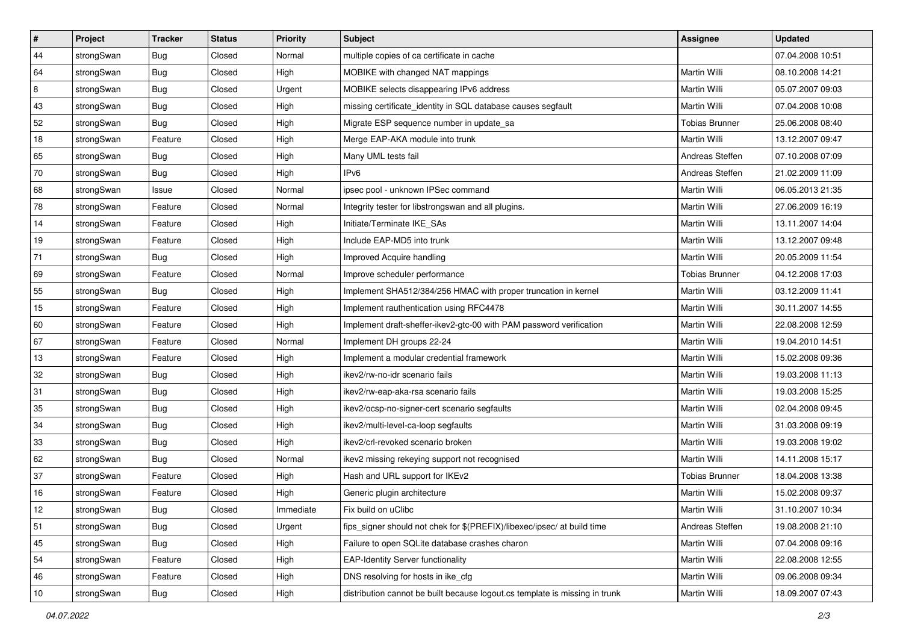| $\vert$ # | Project    | <b>Tracker</b> | <b>Status</b> | Priority  | <b>Subject</b>                                                              | <b>Assignee</b>       | <b>Updated</b>   |
|-----------|------------|----------------|---------------|-----------|-----------------------------------------------------------------------------|-----------------------|------------------|
| 44        | strongSwan | <b>Bug</b>     | Closed        | Normal    | multiple copies of ca certificate in cache                                  |                       | 07.04.2008 10:51 |
| 64        | strongSwan | Bug            | Closed        | High      | MOBIKE with changed NAT mappings                                            | Martin Willi          | 08.10.2008 14:21 |
| 8         | strongSwan | <b>Bug</b>     | Closed        | Urgent    | MOBIKE selects disappearing IPv6 address                                    | <b>Martin Willi</b>   | 05.07.2007 09:03 |
| 43        | strongSwan | <b>Bug</b>     | Closed        | High      | missing certificate_identity in SQL database causes segfault                | Martin Willi          | 07.04.2008 10:08 |
| 52        | strongSwan | Bug            | Closed        | High      | Migrate ESP sequence number in update_sa                                    | <b>Tobias Brunner</b> | 25.06.2008 08:40 |
| 18        | strongSwan | Feature        | Closed        | High      | Merge EAP-AKA module into trunk                                             | Martin Willi          | 13.12.2007 09:47 |
| 65        | strongSwan | Bug            | Closed        | High      | Many UML tests fail                                                         | Andreas Steffen       | 07.10.2008 07:09 |
| 70        | strongSwan | <b>Bug</b>     | Closed        | High      | IPv6                                                                        | Andreas Steffen       | 21.02.2009 11:09 |
| 68        | strongSwan | Issue          | Closed        | Normal    | ipsec pool - unknown IPSec command                                          | Martin Willi          | 06.05.2013 21:35 |
| 78        | strongSwan | Feature        | Closed        | Normal    | Integrity tester for libstrongswan and all plugins.                         | Martin Willi          | 27.06.2009 16:19 |
| 14        | strongSwan | Feature        | Closed        | High      | Initiate/Terminate IKE_SAs                                                  | Martin Willi          | 13.11.2007 14:04 |
| 19        | strongSwan | Feature        | Closed        | High      | Include EAP-MD5 into trunk                                                  | Martin Willi          | 13.12.2007 09:48 |
| 71        | strongSwan | Bug            | Closed        | High      | Improved Acquire handling                                                   | Martin Willi          | 20.05.2009 11:54 |
| 69        | strongSwan | Feature        | Closed        | Normal    | Improve scheduler performance                                               | <b>Tobias Brunner</b> | 04.12.2008 17:03 |
| 55        | strongSwan | Bug            | Closed        | High      | Implement SHA512/384/256 HMAC with proper truncation in kernel              | <b>Martin Willi</b>   | 03.12.2009 11:41 |
| 15        | strongSwan | Feature        | Closed        | High      | Implement rauthentication using RFC4478                                     | Martin Willi          | 30.11.2007 14:55 |
| 60        | strongSwan | Feature        | Closed        | High      | Implement draft-sheffer-ikev2-gtc-00 with PAM password verification         | Martin Willi          | 22.08.2008 12:59 |
| 67        | strongSwan | Feature        | Closed        | Normal    | Implement DH groups 22-24                                                   | Martin Willi          | 19.04.2010 14:51 |
| 13        | strongSwan | Feature        | Closed        | High      | Implement a modular credential framework                                    | Martin Willi          | 15.02.2008 09:36 |
| 32        | strongSwan | Bug            | Closed        | High      | ikev2/rw-no-idr scenario fails                                              | Martin Willi          | 19.03.2008 11:13 |
| 31        | strongSwan | <b>Bug</b>     | Closed        | High      | ikev2/rw-eap-aka-rsa scenario fails                                         | Martin Willi          | 19.03.2008 15:25 |
| 35        | strongSwan | <b>Bug</b>     | Closed        | High      | ikev2/ocsp-no-signer-cert scenario segfaults                                | Martin Willi          | 02.04.2008 09:45 |
| 34        | strongSwan | Bug            | Closed        | High      | ikev2/multi-level-ca-loop segfaults                                         | Martin Willi          | 31.03.2008 09:19 |
| 33        | strongSwan | Bug            | Closed        | High      | ikev2/crl-revoked scenario broken                                           | Martin Willi          | 19.03.2008 19:02 |
| 62        | strongSwan | <b>Bug</b>     | Closed        | Normal    | ikev2 missing rekeying support not recognised                               | Martin Willi          | 14.11.2008 15:17 |
| 37        | strongSwan | Feature        | Closed        | High      | Hash and URL support for IKEv2                                              | <b>Tobias Brunner</b> | 18.04.2008 13:38 |
| 16        | strongSwan | Feature        | Closed        | High      | Generic plugin architecture                                                 | Martin Willi          | 15.02.2008 09:37 |
| 12        | strongSwan | <b>Bug</b>     | Closed        | Immediate | Fix build on uClibc                                                         | Martin Willi          | 31.10.2007 10:34 |
| 51        | strongSwan | <b>Bug</b>     | Closed        | Urgent    | fips_signer should not chek for \$(PREFIX)/libexec/ipsec/ at build time     | Andreas Steffen       | 19.08.2008 21:10 |
| 45        | strongSwan | <b>Bug</b>     | Closed        | High      | Failure to open SQLite database crashes charon                              | Martin Willi          | 07.04.2008 09:16 |
| 54        | strongSwan | Feature        | Closed        | High      | <b>EAP-Identity Server functionality</b>                                    | Martin Willi          | 22.08.2008 12:55 |
| 46        | strongSwan | Feature        | Closed        | High      | DNS resolving for hosts in ike_cfg                                          | Martin Willi          | 09.06.2008 09:34 |
| 10        | strongSwan | Bug            | Closed        | High      | distribution cannot be built because logout.cs template is missing in trunk | Martin Willi          | 18.09.2007 07:43 |